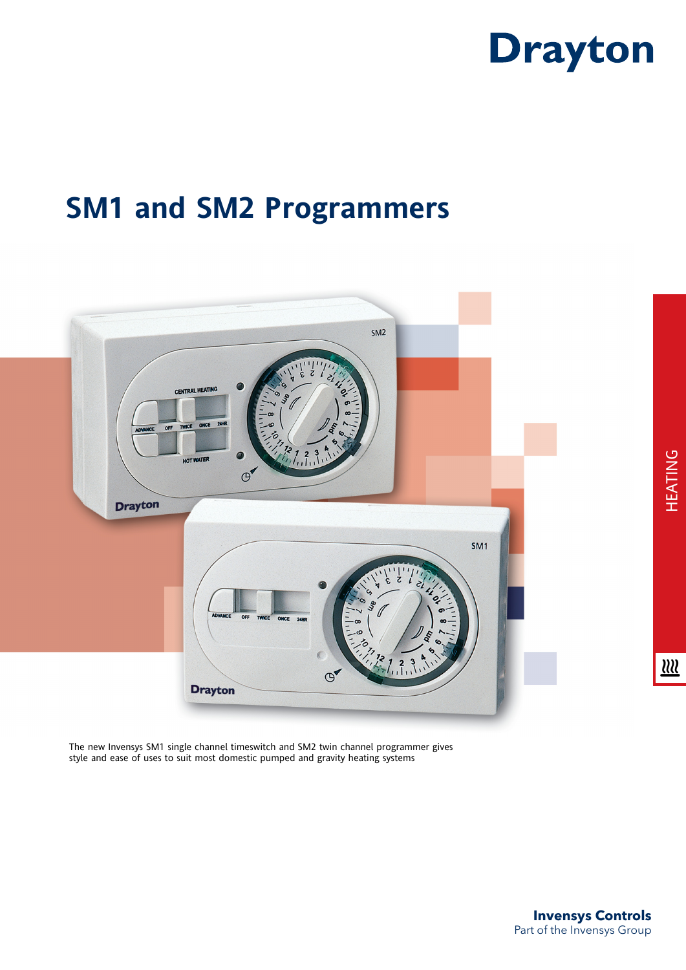

## **SM1 and SM2 Programmers**



The new Invensys SM1 single channel timeswitch and SM2 twin channel programmer gives style and ease of uses to suit most domestic pumped and gravity heating systems

 $\underline{\mathfrak{W}}$